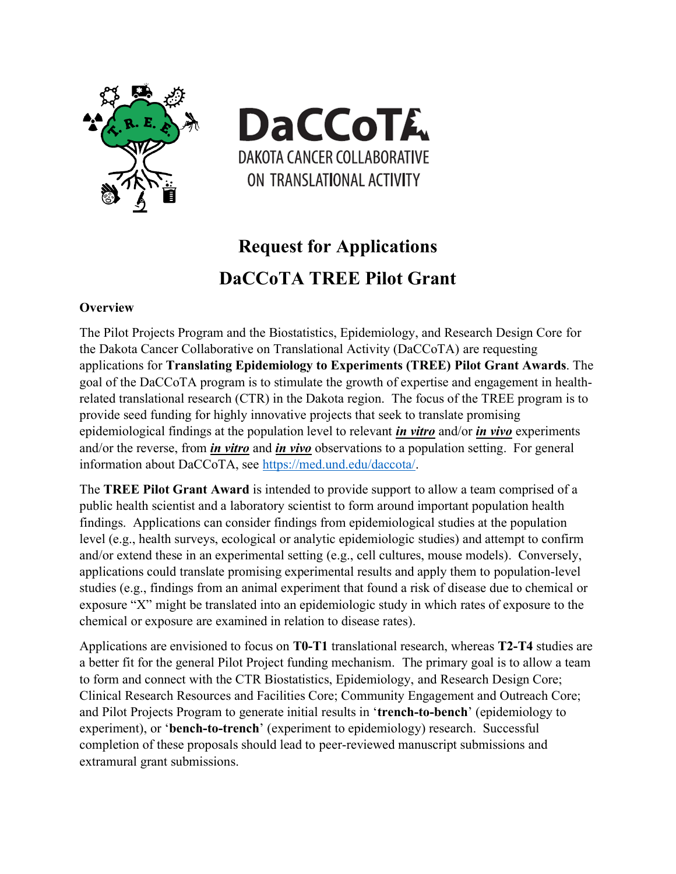



# **Request for Applications DaCCoTA TREE Pilot Grant**

## **Overview**

The Pilot Projects Program and the Biostatistics, Epidemiology, and Research Design Core for the Dakota Cancer Collaborative on Translational Activity (DaCCoTA) are requesting applications for **Translating Epidemiology to Experiments (TREE) Pilot Grant Awards**. The goal of the DaCCoTA program is to stimulate the growth of expertise and engagement in healthrelated translational research (CTR) in the Dakota region. The focus of the TREE program is to provide seed funding for highly innovative projects that seek to translate promising epidemiological findings at the population level to relevant *in vitro* and/or *in vivo* experiments and/or the reverse, from *in vitro* and *in vivo* observations to a population setting. For general information about DaCCoTA, see [https://med.und.edu/daccota/.](https://med.und.edu/daccota/)

The **TREE Pilot Grant Award** is intended to provide support to allow a team comprised of a public health scientist and a laboratory scientist to form around important population health findings. Applications can consider findings from epidemiological studies at the population level (e.g., health surveys, ecological or analytic epidemiologic studies) and attempt to confirm and/or extend these in an experimental setting (e.g., cell cultures, mouse models). Conversely, applications could translate promising experimental results and apply them to population-level studies (e.g., findings from an animal experiment that found a risk of disease due to chemical or exposure "X" might be translated into an epidemiologic study in which rates of exposure to the chemical or exposure are examined in relation to disease rates).

Applications are envisioned to focus on **T0-T1** translational research, whereas **T2-T4** studies are a better fit for the general Pilot Project funding mechanism. The primary goal is to allow a team to form and connect with the CTR Biostatistics, Epidemiology, and Research Design Core; Clinical Research Resources and Facilities Core; Community Engagement and Outreach Core; and Pilot Projects Program to generate initial results in '**trench-to-bench**' (epidemiology to experiment), or '**bench-to-trench**' (experiment to epidemiology) research. Successful completion of these proposals should lead to peer-reviewed manuscript submissions and extramural grant submissions.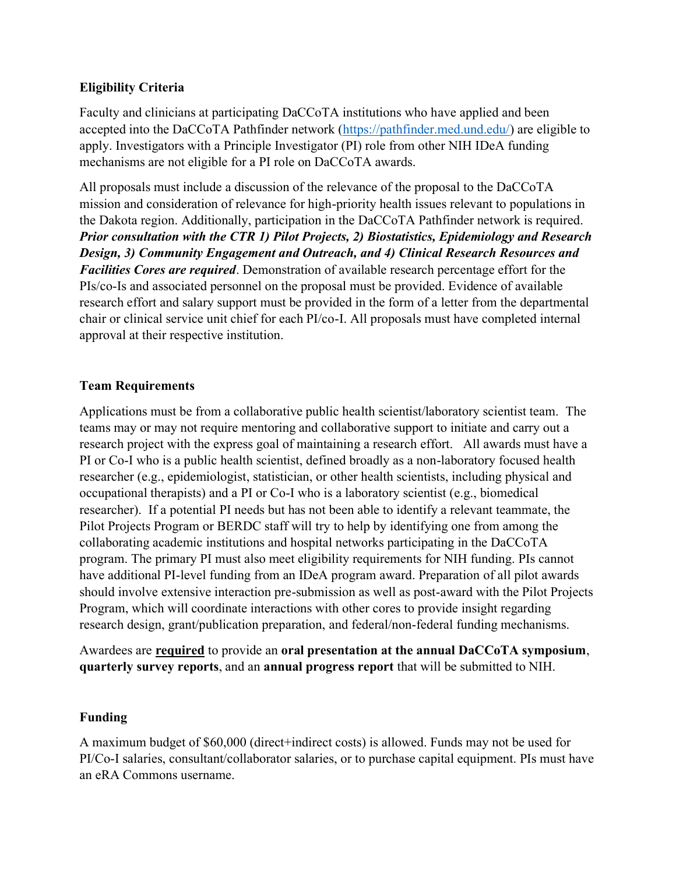## **Eligibility Criteria**

Faculty and clinicians at participating DaCCoTA institutions who have applied and been accepted into the DaCCoTA Pathfinder network [\(https://pathfinder.med.und.edu/\)](https://pathfinder.med.und.edu/) are eligible to apply. Investigators with a Principle Investigator (PI) role from other NIH IDeA funding mechanisms are not eligible for a PI role on DaCCoTA awards.

All proposals must include a discussion of the relevance of the proposal to the DaCCoTA mission and consideration of relevance for high-priority health issues relevant to populations in the Dakota region. Additionally, participation in the DaCCoTA Pathfinder network is required. *Prior consultation with the CTR 1) Pilot Projects, 2) Biostatistics, Epidemiology and Research Design, 3) Community Engagement and Outreach, and 4) Clinical Research Resources and Facilities Cores are required*. Demonstration of available research percentage effort for the PIs/co-Is and associated personnel on the proposal must be provided. Evidence of available research effort and salary support must be provided in the form of a letter from the departmental chair or clinical service unit chief for each PI/co-I. All proposals must have completed internal approval at their respective institution.

## **Team Requirements**

Applications must be from a collaborative public health scientist/laboratory scientist team. The teams may or may not require mentoring and collaborative support to initiate and carry out a research project with the express goal of maintaining a research effort. All awards must have a PI or Co-I who is a public health scientist, defined broadly as a non-laboratory focused health researcher (e.g., epidemiologist, statistician, or other health scientists, including physical and occupational therapists) and a PI or Co-I who is a laboratory scientist (e.g., biomedical researcher). If a potential PI needs but has not been able to identify a relevant teammate, the Pilot Projects Program or BERDC staff will try to help by identifying one from among the collaborating academic institutions and hospital networks participating in the DaCCoTA program. The primary PI must also meet eligibility requirements for NIH funding. PIs cannot have additional PI-level funding from an IDeA program award. Preparation of all pilot awards should involve extensive interaction pre-submission as well as post-award with the Pilot Projects Program, which will coordinate interactions with other cores to provide insight regarding research design, grant/publication preparation, and federal/non-federal funding mechanisms.

Awardees are **required** to provide an **oral presentation at the annual DaCCoTA symposium**, **quarterly survey reports**, and an **annual progress report** that will be submitted to NIH.

## **Funding**

A maximum budget of \$60,000 (direct+indirect costs) is allowed. Funds may not be used for PI/Co-I salaries, consultant/collaborator salaries, or to purchase capital equipment. PIs must have an eRA Commons username.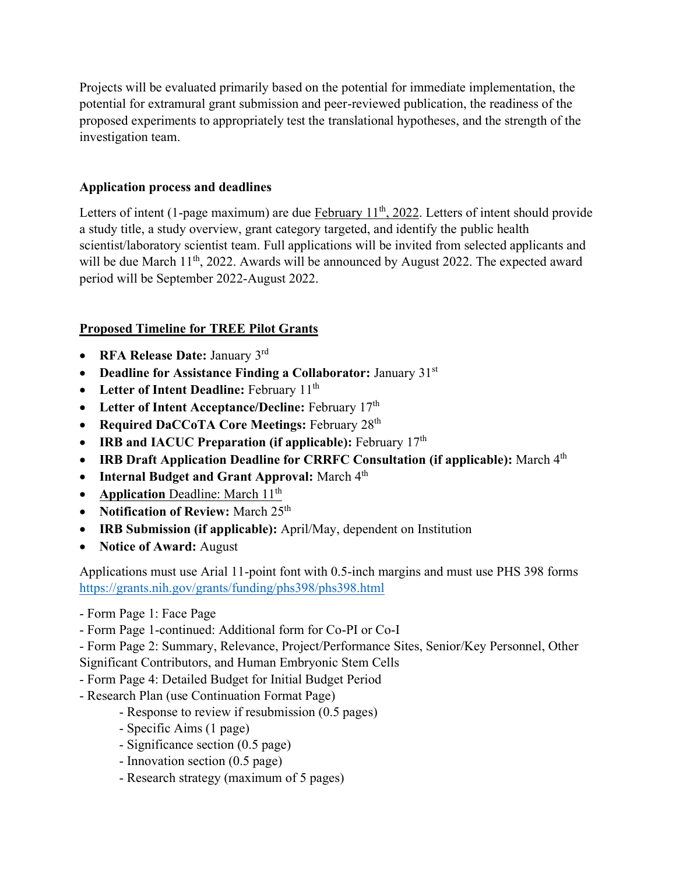Projects will be evaluated primarily based on the potential for immediate implementation, the potential for extramural grant submission and peer-reviewed publication, the readiness of the proposed experiments to appropriately test the translational hypotheses, and the strength of the investigation team.

# **Application process and deadlines**

Letters of intent (1-page maximum) are due February  $11<sup>th</sup>$ , 2022. Letters of intent should provide a study title, a study overview, grant category targeted, and identify the public health scientist/laboratory scientist team. Full applications will be invited from selected applicants and will be due March 11<sup>th</sup>, 2022. Awards will be announced by August 2022. The expected award period will be September 2022-August 2022.

# **Proposed Timeline for TREE Pilot Grants**

- **RFA Release Date:** January 3 rd
- **Deadline for Assistance Finding a Collaborator:** January 31st
- Letter of Intent Deadline: February 11<sup>th</sup>
- Letter of Intent Acceptance/Decline: February 17<sup>th</sup>
- **Required DaCCoTA Core Meetings:** February 28th
- **IRB and IACUC Preparation (if applicable):** February 17<sup>th</sup>
- **IRB Draft Application Deadline for CRRFC Consultation (if applicable):** March 4th
- Internal Budget and Grant Approval: March 4<sup>th</sup>
- **Application Deadline: March 11<sup>th</sup>**
- **Notification of Review:** March 25<sup>th</sup>
- **IRB Submission (if applicable):** April/May, dependent on Institution
- **Notice of Award:** August

Applications must use Arial 11-point font with 0.5-inch margins and must use PHS 398 forms <https://grants.nih.gov/grants/funding/phs398/phs398.html>

- Form Page 1: Face Page
- Form Page 1-continued: Additional form for Co-PI or Co-I

- Form Page 2: Summary, Relevance, Project/Performance Sites, Senior/Key Personnel, Other Significant Contributors, and Human Embryonic Stem Cells

- Form Page 4: Detailed Budget for Initial Budget Period
- Research Plan (use Continuation Format Page)
	- Response to review if resubmission (0.5 pages)
	- Specific Aims (1 page)
	- Significance section (0.5 page)
	- Innovation section (0.5 page)
	- Research strategy (maximum of 5 pages)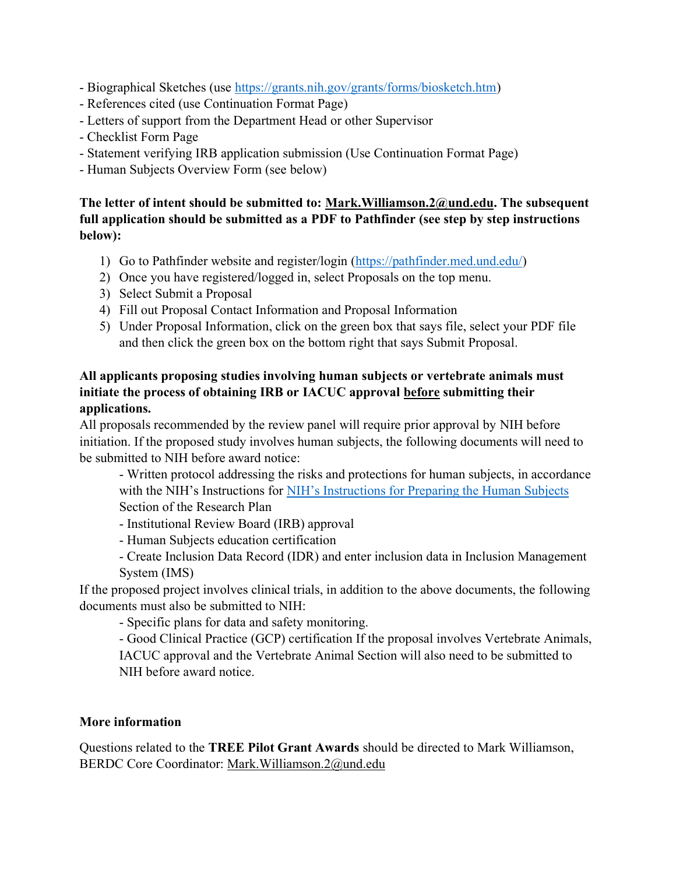- Biographical Sketches (use [https://grants.nih.gov/grants/forms/biosketch.htm\)](https://grants.nih.gov/grants/forms/biosketch.htm)
- References cited (use Continuation Format Page)
- Letters of support from the Department Head or other Supervisor
- Checklist Form Page
- Statement verifying IRB application submission (Use Continuation Format Page)
- Human Subjects Overview Form (see below)

# **The letter of intent should be submitted to: Mark.Williamson.2@und.edu. The subsequent full application should be submitted as a PDF to Pathfinder (see step by step instructions below):**

- 1) Go to Pathfinder website and register/login [\(https://pathfinder.med.und.edu/\)](https://pathfinder.med.und.edu/)
- 2) Once you have registered/logged in, select Proposals on the top menu.
- 3) Select Submit a Proposal
- 4) Fill out Proposal Contact Information and Proposal Information
- 5) Under Proposal Information, click on the green box that says file, select your PDF file and then click the green box on the bottom right that says Submit Proposal.

# **All applicants proposing studies involving human subjects or vertebrate animals must initiate the process of obtaining IRB or IACUC approval before submitting their applications.**

All proposals recommended by the review panel will require prior approval by NIH before initiation. If the proposed study involves human subjects, the following documents will need to be submitted to NIH before award notice:

- Written protocol addressing the risks and protections for human subjects, in accordance with the NIH's Instructions for [NIH's Instructions for Preparing the Human Subjects](https://grants.nih.gov/sites/default/files/OER%20Regionals%2010-2018%20Human.Subject.Reviews-Preparing-NIH-HSSection-Policy-Overview%20508c%20version%20Rev.pdf) Section of the Research Plan

- Institutional Review Board (IRB) approval
- Human Subjects education certification
- Create Inclusion Data Record (IDR) and enter inclusion data in Inclusion Management System (IMS)

If the proposed project involves clinical trials, in addition to the above documents, the following documents must also be submitted to NIH:

- Specific plans for data and safety monitoring.

- Good Clinical Practice (GCP) certification If the proposal involves Vertebrate Animals, IACUC approval and the Vertebrate Animal Section will also need to be submitted to NIH before award notice.

## **More information**

Questions related to the **TREE Pilot Grant Awards** should be directed to Mark Williamson, BERDC Core Coordinator: Mark.Williamson.2@und.edu